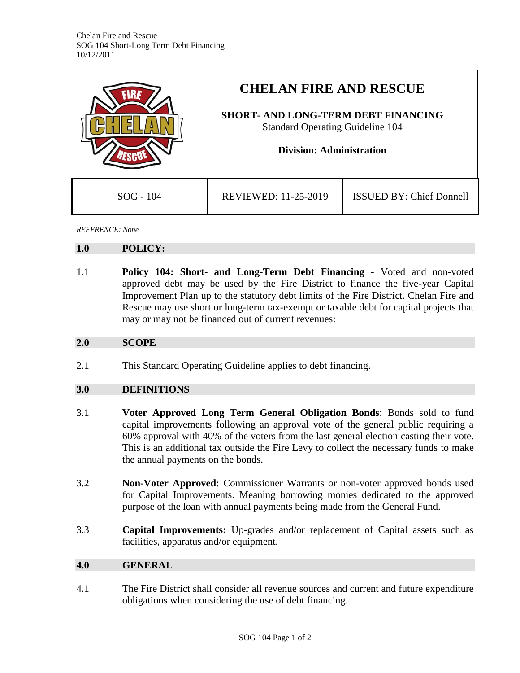|             | <b>CHELAN FIRE AND RESCUE</b><br><b>SHORT- AND LONG-TERM DEBT FINANCING</b><br><b>Standard Operating Guideline 104</b><br><b>Division: Administration</b> |                                 |
|-------------|-----------------------------------------------------------------------------------------------------------------------------------------------------------|---------------------------------|
| $SOG - 104$ | REVIEWED: 11-25-2019                                                                                                                                      | <b>ISSUED BY: Chief Donnell</b> |

*REFERENCE: None*

#### **1.0 POLICY:**

1.1 **Policy 104: Short- and Long-Term Debt Financing -** Voted and non-voted approved debt may be used by the Fire District to finance the five-year Capital Improvement Plan up to the statutory debt limits of the Fire District. Chelan Fire and Rescue may use short or long-term tax-exempt or taxable debt for capital projects that may or may not be financed out of current revenues:

### **2.0 SCOPE**

2.1 This Standard Operating Guideline applies to debt financing.

## **3.0 DEFINITIONS**

- 3.1 **Voter Approved Long Term General Obligation Bonds**: Bonds sold to fund capital improvements following an approval vote of the general public requiring a 60% approval with 40% of the voters from the last general election casting their vote. This is an additional tax outside the Fire Levy to collect the necessary funds to make the annual payments on the bonds.
- 3.2 **Non-Voter Approved**: Commissioner Warrants or non-voter approved bonds used for Capital Improvements. Meaning borrowing monies dedicated to the approved purpose of the loan with annual payments being made from the General Fund.
- 3.3 **Capital Improvements:** Up-grades and/or replacement of Capital assets such as facilities, apparatus and/or equipment.

### **4.0 GENERAL**

4.1 The Fire District shall consider all revenue sources and current and future expenditure obligations when considering the use of debt financing.